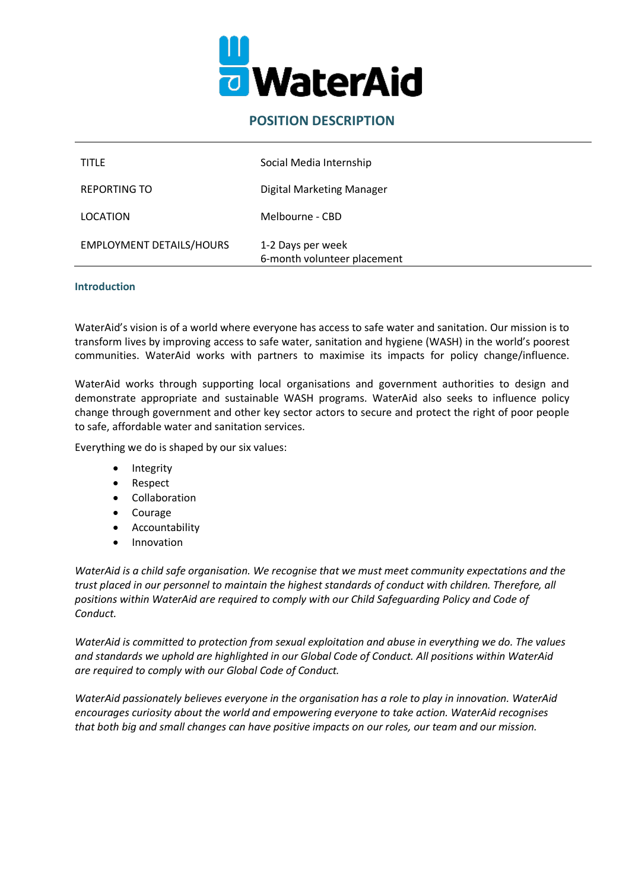

# **POSITION DESCRIPTION**

| <b>TITLE</b>                    | Social Media Internship                          |
|---------------------------------|--------------------------------------------------|
| <b>REPORTING TO</b>             | <b>Digital Marketing Manager</b>                 |
| LOCATION                        | Melbourne - CBD                                  |
| <b>EMPLOYMENT DETAILS/HOURS</b> | 1-2 Days per week<br>6-month volunteer placement |

## **Introduction**

WaterAid's vision is of a world where everyone has access to safe water and sanitation. Our mission is to transform lives by improving access to safe water, sanitation and hygiene (WASH) in the world's poorest communities. WaterAid works with partners to maximise its impacts for policy change/influence.

WaterAid works through supporting local organisations and government authorities to design and demonstrate appropriate and sustainable WASH programs. WaterAid also seeks to influence policy change through government and other key sector actors to secure and protect the right of poor people to safe, affordable water and sanitation services.

Everything we do is shaped by our six values:

- **Integrity**
- Respect
- **Collaboration**
- **Courage**
- **Accountability**
- Innovation

*WaterAid is a child safe organisation. We recognise that we must meet community expectations and the trust placed in our personnel to maintain the highest standards of conduct with children. Therefore, all positions within WaterAid are required to comply with our Child Safeguarding Policy and Code of Conduct.*

*WaterAid is committed to protection from sexual exploitation and abuse in everything we do. The values and standards we uphold are highlighted in our Global Code of Conduct. All positions within WaterAid are required to comply with our Global Code of Conduct.*

*WaterAid passionately believes everyone in the organisation has a role to play in innovation. WaterAid encourages curiosity about the world and empowering everyone to take action. WaterAid recognises that both big and small changes can have positive impacts on our roles, our team and our mission.*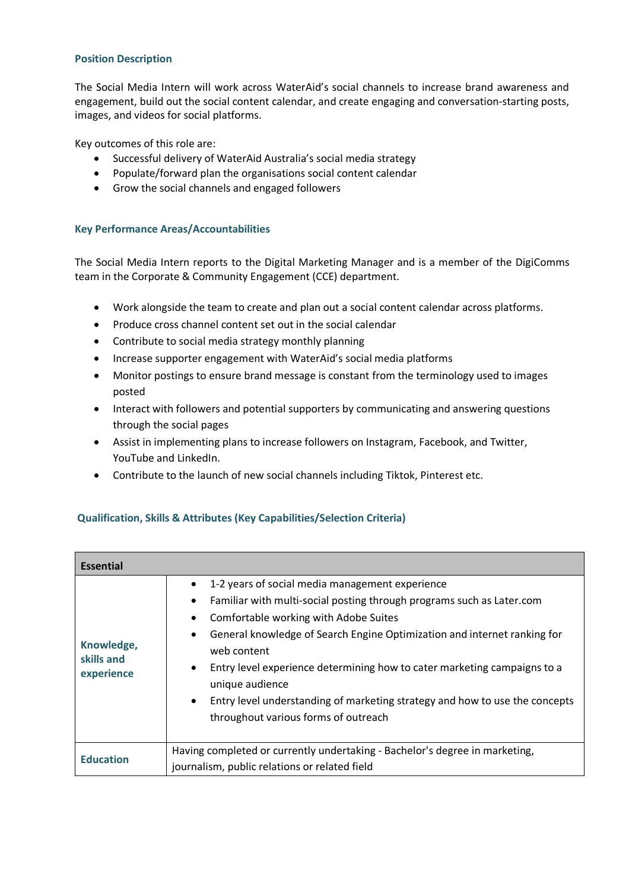## **Position Description**

The Social Media Intern will work across WaterAid's social channels to increase brand awareness and engagement, build out the social content calendar, and create engaging and conversation-starting posts, images, and videos for social platforms.

Key outcomes of this role are:

- Successful delivery of WaterAid Australia's social media strategy
- Populate/forward plan the organisations social content calendar
- Grow the social channels and engaged followers

## **Key Performance Areas/Accountabilities**

The Social Media Intern reports to the Digital Marketing Manager and is a member of the DigiComms team in the Corporate & Community Engagement (CCE) department.

- Work alongside the team to create and plan out a social content calendar across platforms.
- Produce cross channel content set out in the social calendar
- Contribute to social media strategy monthly planning
- Increase supporter engagement with WaterAid's social media platforms
- Monitor postings to ensure brand message is constant from the terminology used to images posted
- Interact with followers and potential supporters by communicating and answering questions through the social pages
- Assist in implementing plans to increase followers on Instagram, Facebook, and Twitter, YouTube and LinkedIn.
- Contribute to the launch of new social channels including Tiktok, Pinterest etc.

## **Qualification, Skills & Attributes (Key Capabilities/Selection Criteria)**

| Essential                              |                                                                                                                                                                                                                                                                                                                                                                                                                                                                                                                                                                  |
|----------------------------------------|------------------------------------------------------------------------------------------------------------------------------------------------------------------------------------------------------------------------------------------------------------------------------------------------------------------------------------------------------------------------------------------------------------------------------------------------------------------------------------------------------------------------------------------------------------------|
| Knowledge,<br>skills and<br>experience | 1-2 years of social media management experience<br>$\bullet$<br>Familiar with multi-social posting through programs such as Later.com<br>$\bullet$<br>Comfortable working with Adobe Suites<br>$\bullet$<br>General knowledge of Search Engine Optimization and internet ranking for<br>$\bullet$<br>web content<br>Entry level experience determining how to cater marketing campaigns to a<br>$\bullet$<br>unique audience<br>Entry level understanding of marketing strategy and how to use the concepts<br>$\bullet$<br>throughout various forms of outreach |
| <b>Education</b>                       | Having completed or currently undertaking - Bachelor's degree in marketing,<br>journalism, public relations or related field                                                                                                                                                                                                                                                                                                                                                                                                                                     |